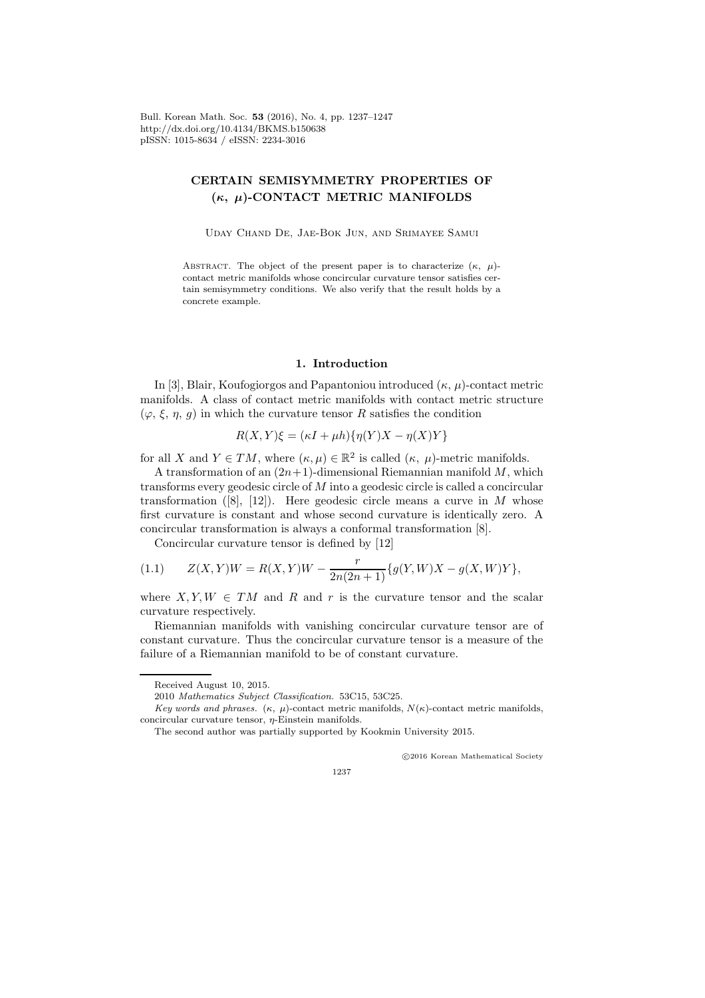Bull. Korean Math. Soc. 53 (2016), No. 4, pp. 1237–1247 http://dx.doi.org/10.4134/BKMS.b150638 pISSN: 1015-8634 / eISSN: 2234-3016

# CERTAIN SEMISYMMETRY PROPERTIES OF  $(\kappa, \mu)$ -CONTACT METRIC MANIFOLDS

Uday Chand De, Jae-Bok Jun, and Srimayee Samui

ABSTRACT. The object of the present paper is to characterize  $(\kappa, \mu)$ contact metric manifolds whose concircular curvature tensor satisfies certain semisymmetry conditions. We also verify that the result holds by a concrete example.

#### 1. Introduction

In [3], Blair, Koufogiorgos and Papantoniou introduced  $(\kappa, \mu)$ -contact metric manifolds. A class of contact metric manifolds with contact metric structure  $(\varphi, \xi, \eta, g)$  in which the curvature tensor R satisfies the condition

$$
R(X,Y)\xi = (\kappa I + \mu h)\{\eta(Y)X - \eta(X)Y\}
$$

for all X and  $Y \in TM$ , where  $(\kappa, \mu) \in \mathbb{R}^2$  is called  $(\kappa, \mu)$ -metric manifolds.

A transformation of an  $(2n+1)$ -dimensional Riemannian manifold M, which transforms every geodesic circle of M into a geodesic circle is called a concircular transformation  $([8], [12])$ . Here geodesic circle means a curve in M whose first curvature is constant and whose second curvature is identically zero. A concircular transformation is always a conformal transformation [8].

Concircular curvature tensor is defined by [12]

(1.1) 
$$
Z(X,Y)W = R(X,Y)W - \frac{r}{2n(2n+1)}\{g(Y,W)X - g(X,W)Y\},\,
$$

where  $X, Y, W \in TM$  and R and r is the curvature tensor and the scalar curvature respectively.

Riemannian manifolds with vanishing concircular curvature tensor are of constant curvature. Thus the concircular curvature tensor is a measure of the failure of a Riemannian manifold to be of constant curvature.

c 2016 Korean Mathematical Society

1237

Received August 10, 2015.

<sup>2010</sup> Mathematics Subject Classification. 53C15, 53C25.

Key words and phrases.  $(\kappa, \mu)$ -contact metric manifolds,  $N(\kappa)$ -contact metric manifolds, concircular curvature tensor,  $\eta$ -Einstein manifolds.

The second author was partially supported by Kookmin University 2015.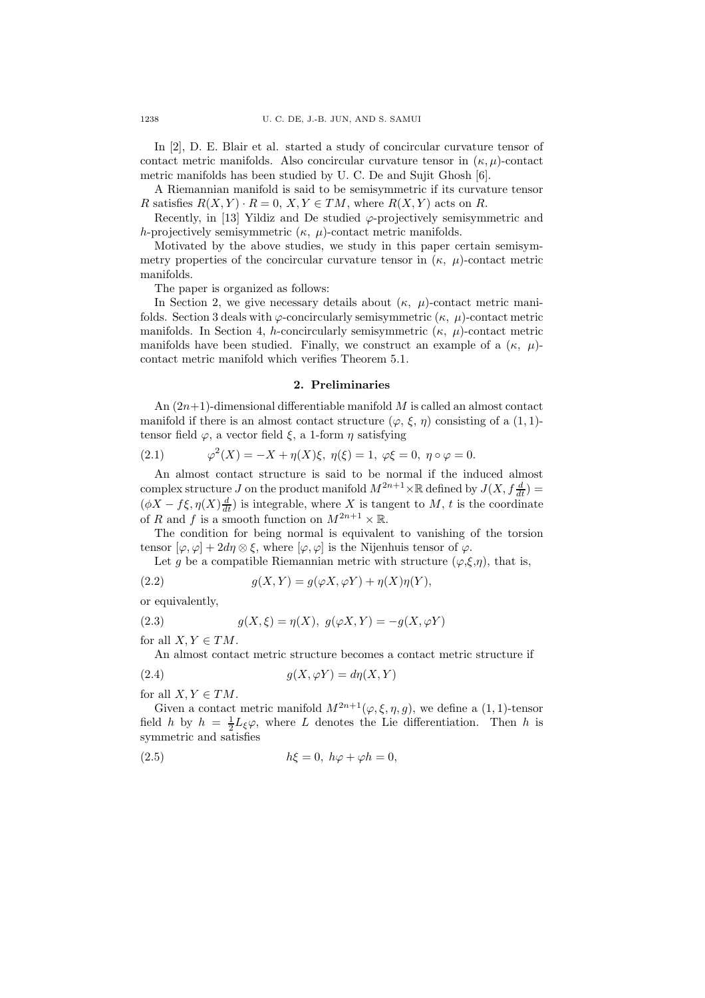In [2], D. E. Blair et al. started a study of concircular curvature tensor of contact metric manifolds. Also concircular curvature tensor in  $(\kappa, \mu)$ -contact metric manifolds has been studied by U. C. De and Sujit Ghosh [6].

A Riemannian manifold is said to be semisymmetric if its curvature tensor R satisfies  $R(X, Y) \cdot R = 0$ ,  $X, Y \in TM$ , where  $R(X, Y)$  acts on R.

Recently, in [13] Yildiz and De studied  $\varphi$ -projectively semisymmetric and h-projectively semisymmetric  $(\kappa, \mu)$ -contact metric manifolds.

Motivated by the above studies, we study in this paper certain semisymmetry properties of the concircular curvature tensor in  $(\kappa, \mu)$ -contact metric manifolds.

The paper is organized as follows:

In Section 2, we give necessary details about  $(\kappa, \mu)$ -contact metric manifolds. Section 3 deals with  $\varphi$ -concircularly semisymmetric  $(\kappa, \mu)$ -contact metric manifolds. In Section 4, h-concircularly semisymmetric  $(\kappa, \mu)$ -contact metric manifolds have been studied. Finally, we construct an example of a  $(\kappa, \mu)$ contact metric manifold which verifies Theorem 5.1.

#### 2. Preliminaries

An  $(2n+1)$ -dimensional differentiable manifold M is called an almost contact manifold if there is an almost contact structure  $(\varphi, \xi, \eta)$  consisting of a  $(1, 1)$ tensor field  $\varphi$ , a vector field  $\xi$ , a 1-form  $\eta$  satisfying

(2.1) 
$$
\varphi^2(X) = -X + \eta(X)\xi, \ \eta(\xi) = 1, \ \varphi\xi = 0, \ \eta \circ \varphi = 0.
$$

An almost contact structure is said to be normal if the induced almost complex structure J on the product manifold  $M^{2n+1}\times \mathbb{R}$  defined by  $J(X, f\frac{d}{dt}) =$  $(\phi X - f \xi, \eta(X) \frac{d}{dt})$  is integrable, where X is tangent to M, t is the coordinate of R and f is a smooth function on  $M^{2n+1} \times \mathbb{R}$ .

The condition for being normal is equivalent to vanishing of the torsion tensor  $[\varphi, \varphi] + 2d\eta \otimes \xi$ , where  $[\varphi, \varphi]$  is the Nijenhuis tensor of  $\varphi$ .

Let g be a compatible Riemannian metric with structure  $(\varphi,\xi,\eta)$ , that is,

(2.2) 
$$
g(X,Y) = g(\varphi X, \varphi Y) + \eta(X)\eta(Y),
$$

or equivalently,

(2.3) 
$$
g(X,\xi) = \eta(X), \ g(\varphi X, Y) = -g(X, \varphi Y)
$$

for all  $X, Y \in TM$ .

An almost contact metric structure becomes a contact metric structure if

(2.4) 
$$
g(X, \varphi Y) = d\eta(X, Y)
$$

for all  $X, Y \in TM$ .

Given a contact metric manifold  $M^{2n+1}(\varphi,\xi,\eta,g)$ , we define a  $(1,1)$ -tensor field h by  $h = \frac{1}{2}L_{\xi}\varphi$ , where L denotes the Lie differentiation. Then h is symmetric and satisfies

(2.5) hξ = 0, hϕ + ϕh = 0,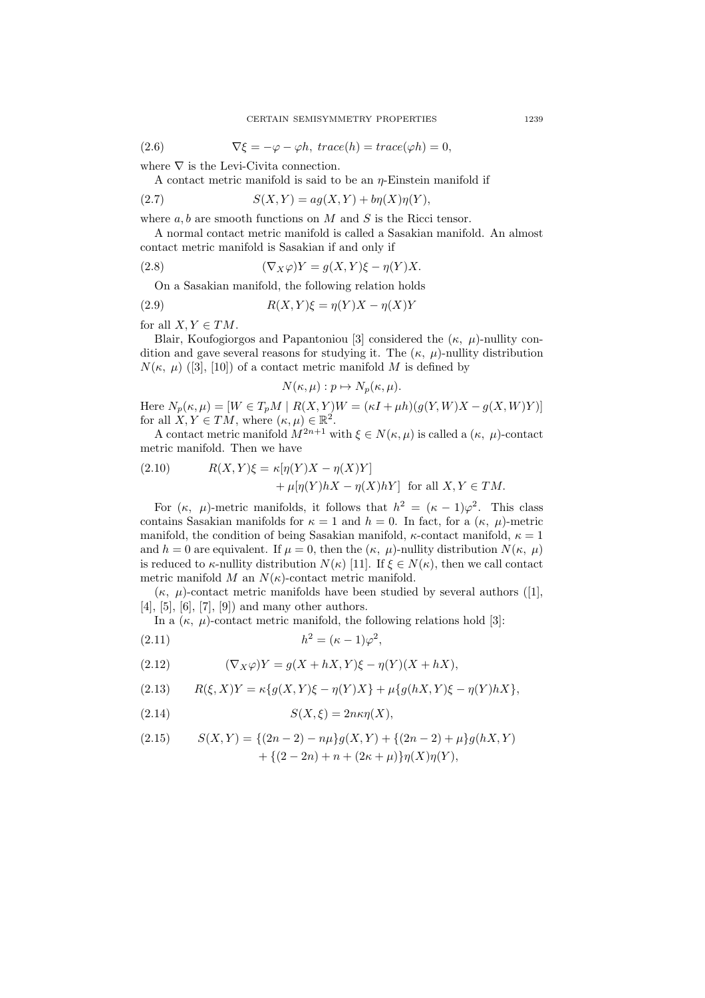(2.6) 
$$
\nabla \xi = -\varphi - \varphi h, \; trace(h) = trace(\varphi h) = 0,
$$

where  $\nabla$  is the Levi-Civita connection.

A contact metric manifold is said to be an  $\eta$ -Einstein manifold if

$$
(2.7) \tS(X,Y) = ag(X,Y) + b\eta(X)\eta(Y),
$$

where  $a, b$  are smooth functions on M and S is the Ricci tensor.

A normal contact metric manifold is called a Sasakian manifold. An almost contact metric manifold is Sasakian if and only if

(2.8) 
$$
(\nabla_X \varphi)Y = g(X, Y)\xi - \eta(Y)X.
$$

On a Sasakian manifold, the following relation holds

(2.9) 
$$
R(X,Y)\xi = \eta(Y)X - \eta(X)Y
$$

for all  $X, Y \in TM$ .

Blair, Koufogiorgos and Papantoniou [3] considered the  $(\kappa, \mu)$ -nullity condition and gave several reasons for studying it. The  $(\kappa, \mu)$ -nullity distribution  $N(\kappa, \mu)$  ([3], [10]) of a contact metric manifold M is defined by

$$
N(\kappa, \mu) : p \mapsto N_p(\kappa, \mu).
$$

Here  $N_p(\kappa, \mu) = [W \in T_pM \mid R(X, Y)W = (\kappa I + \mu h)(g(Y, W)X - g(X, W)Y)]$ for all  $X, Y \in TM$ , where  $(\kappa, \mu) \in \mathbb{R}^2$ .

A contact metric manifold  $M^{2n+1}$  with  $\xi \in N(\kappa, \mu)$  is called a  $(\kappa, \mu)$ -contact metric manifold. Then we have

(2.10) 
$$
R(X,Y)\xi = \kappa[\eta(Y)X - \eta(X)Y] + \mu[\eta(Y)hX - \eta(X)hY] \text{ for all } X, Y \in TM.
$$

For  $(\kappa, \mu)$ -metric manifolds, it follows that  $h^2 = (\kappa - 1)\varphi^2$ . This class contains Sasakian manifolds for  $\kappa = 1$  and  $h = 0$ . In fact, for a  $(\kappa, \mu)$ -metric manifold, the condition of being Sasakian manifold,  $\kappa$ -contact manifold,  $\kappa = 1$ and  $h = 0$  are equivalent. If  $\mu = 0$ , then the  $(\kappa, \mu)$ -nullity distribution  $N(\kappa, \mu)$ is reduced to  $\kappa$ -nullity distribution  $N(\kappa)$  [11]. If  $\xi \in N(\kappa)$ , then we call contact metric manifold M an  $N(\kappa)$ -contact metric manifold.

 $(\kappa, \mu)$ -contact metric manifolds have been studied by several authors ([1],  $[4]$ ,  $[5]$ ,  $[6]$ ,  $[7]$ ,  $[9]$  and many other authors.

In a  $(\kappa, \mu)$ -contact metric manifold, the following relations hold [3]:

$$
(2.11) \t\t\t h^2 = (\kappa - 1)\varphi^2,
$$

(2.12) 
$$
(\nabla_X \varphi)Y = g(X + hX, Y)\xi - \eta(Y)(X + hX),
$$

(2.13) 
$$
R(\xi, X)Y = \kappa \{ g(X, Y)\xi - \eta(Y)X \} + \mu \{ g(hX, Y)\xi - \eta(Y)hX \},
$$

$$
(2.14) \tS(X,\xi) = 2n\kappa\eta(X),
$$

(2.15) 
$$
S(X,Y) = \{(2n-2) - n\mu\}g(X,Y) + \{(2n-2) + \mu\}g(hX,Y) + \{(2-2n) + n + (2\kappa + \mu)\}\eta(X)\eta(Y),
$$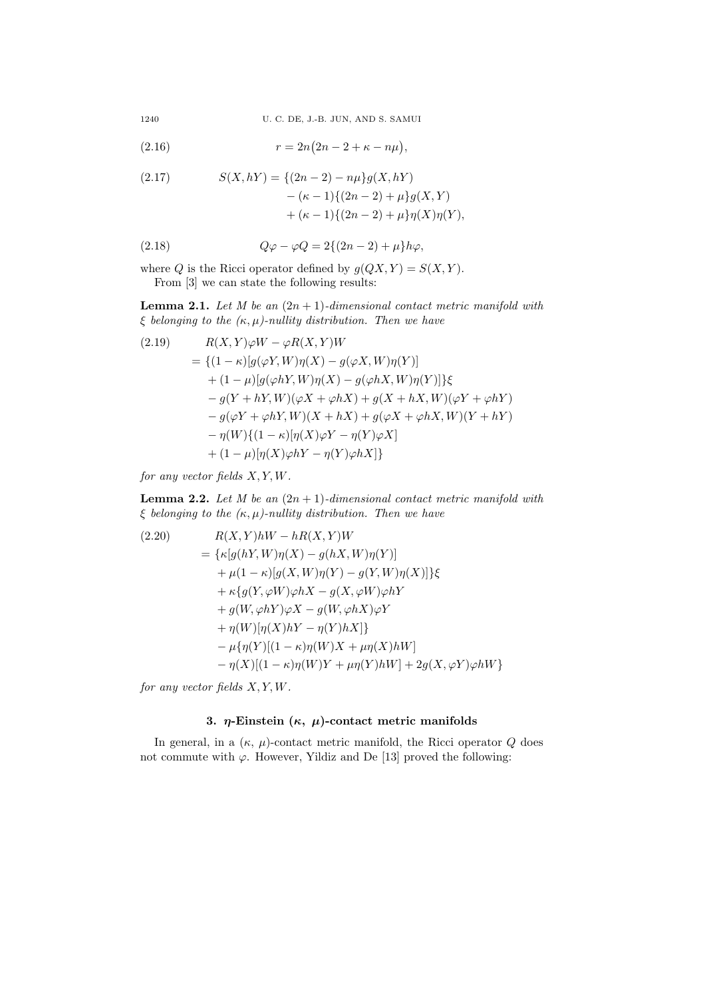1240 U. C. DE, J.-B. JUN, AND S. SAMUI

(2.16) 
$$
r = 2n(2n - 2 + \kappa - n\mu),
$$

(2.17) 
$$
S(X, hY) = \{(2n - 2) - n\mu\}g(X, hY) - (\kappa - 1)\{(2n - 2) + \mu\}g(X, Y) + (\kappa - 1)\{(2n - 2) + \mu\}\eta(X)\eta(Y),
$$

$$
(2.18) \qquad \qquad Q\varphi - \varphi Q = 2\{(2n-2) + \mu\}h\varphi,
$$

where Q is the Ricci operator defined by  $g(QX, Y) = S(X, Y)$ . From  $[3]$  we can state the following results:

**Lemma 2.1.** Let M be an  $(2n + 1)$ -dimensional contact metric manifold with  $\xi$  belonging to the  $(\kappa, \mu)$ -nullity distribution. Then we have

$$
R(X,Y)\varphi W - \varphi R(X,Y)W
$$
  
= { $(1 - \kappa)[g(\varphi Y, W)\eta(X) - g(\varphi X, W)\eta(Y)]$   
+  $(1 - \mu)[g(\varphi hY, W)\eta(X) - g(\varphi hX, W)\eta(Y)]$ } $\xi$   
-  $g(Y + hY, W)(\varphi X + \varphi hX) + g(X + hX, W)(\varphi Y + \varphi hY)$   
-  $g(\varphi Y + \varphi hY, W)(X + hX) + g(\varphi X + \varphi hX, W)(Y + hY)$   
-  $\eta(W)\{(1 - \kappa)[\eta(X)\varphi Y - \eta(Y)\varphi X]$   
+  $(1 - \mu)[\eta(X)\varphi hY - \eta(Y)\varphi hX]\}$ 

for any vector fields  $X, Y, W$ .

**Lemma 2.2.** Let M be an  $(2n + 1)$ -dimensional contact metric manifold with  $\xi$  belonging to the  $(\kappa, \mu)$ -nullity distribution. Then we have

$$
R(X,Y)hW - hR(X,Y)W
$$
  
= { $\kappa[g(hY,W)\eta(X) - g(hX,W)\eta(Y)]$   
+  $\mu(1 - \kappa)[g(X,W)\eta(Y) - g(Y,W)\eta(X)]$ } $\xi$   
+  $\kappa{g(Y,\varphi W)\varphi hX - g(X,\varphi W)\varphi hY}$   
+  $g(W,\varphi hY)\varphi X - g(W,\varphi hX)\varphi Y$   
+  $\eta(W)[\eta(X)hY - \eta(Y)hX]$ }  
-  $\mu{\eta(Y)[(1 - \kappa)\eta(W)X + \mu\eta(X)hW]}$   
-  $\eta(X)[(1 - \kappa)\eta(W)Y + \mu\eta(Y)hW] + 2g(X,\varphi Y)\varphi hW$ }

for any vector fields  $X, Y, W$ .

# 3. η-Einstein (κ, μ)-contact metric manifolds

In general, in a  $(\kappa, \mu)$ -contact metric manifold, the Ricci operator Q does not commute with  $\varphi$ . However, Yildiz and De [13] proved the following: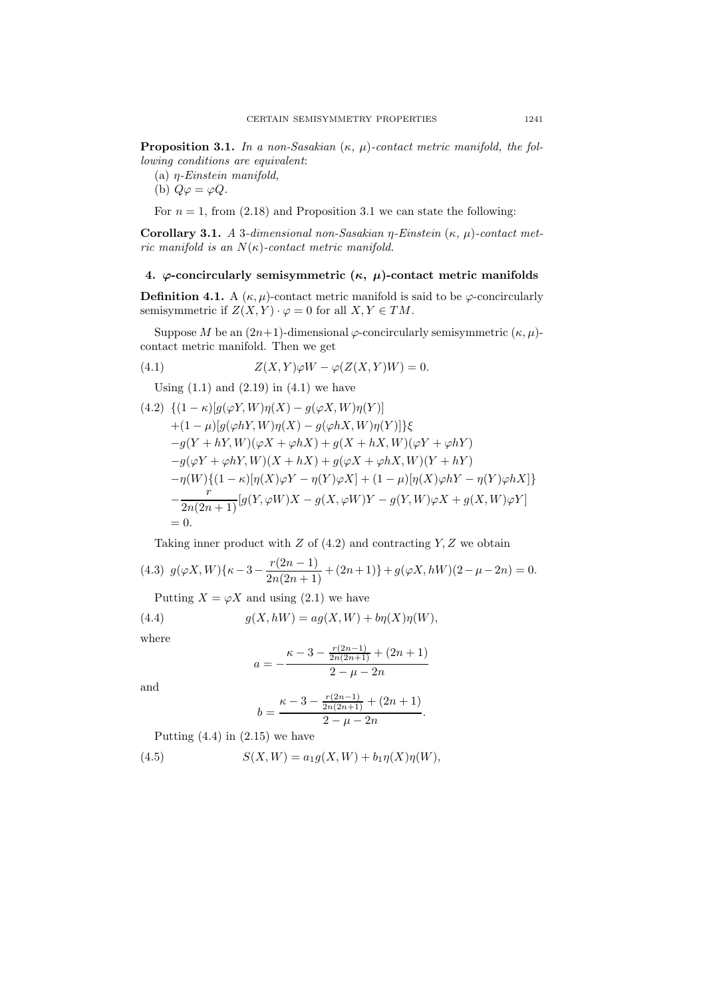**Proposition 3.1.** In a non-Sasakian  $(\kappa, \mu)$ -contact metric manifold, the following conditions are equivalent:

- (a)  $\eta$ -Einstein manifold,
- (b)  $Q\varphi = \varphi Q$ .

For  $n = 1$ , from (2.18) and Proposition 3.1 we can state the following:

Corollary 3.1. A 3-dimensional non-Sasakian η-Einstein  $(κ, μ)$ -contact metric manifold is an  $N(\kappa)$ -contact metric manifold.

### 4.  $\varphi$ -concircularly semisymmetric  $(\kappa, \mu)$ -contact metric manifolds

**Definition 4.1.** A  $(\kappa, \mu)$ -contact metric manifold is said to be  $\varphi$ -concircularly semisymmetric if  $Z(X, Y) \cdot \varphi = 0$  for all  $X, Y \in TM$ .

Suppose M be an  $(2n+1)$ -dimensional  $\varphi$ -concircularly semisymmetric  $(\kappa, \mu)$ contact metric manifold. Then we get

(4.1) 
$$
Z(X,Y)\varphi W - \varphi(Z(X,Y)W) = 0.
$$

Using  $(1.1)$  and  $(2.19)$  in  $(4.1)$  we have

$$
(4.2) \{ (1 - \kappa) [g(\varphi Y, W)\eta(X) - g(\varphi X, W)\eta(Y)]+ (1 - \mu) [g(\varphi hY, W)\eta(X) - g(\varphi hX, W)\eta(Y)]\} \xi-g(Y + hY, W)(\varphi X + \varphi hX) + g(X + hX, W)(\varphi Y + \varphi hY)-g(\varphi Y + \varphi hY, W)(X + hX) + g(\varphi X + \varphi hX, W)(Y + hY)- \eta(W)\{(1 - \kappa) [\eta(X)\varphi Y - \eta(Y)\varphi X] + (1 - \mu) [\eta(X)\varphi hY - \eta(Y)\varphi hX]\}- \frac{r}{2n(2n+1)} [g(Y, \varphi W)X - g(X, \varphi W)Y - g(Y, W)\varphi X + g(X, W)\varphi Y]= 0.
$$

Taking inner product with  $Z$  of  $(4.2)$  and contracting  $Y, Z$  we obtain

$$
(4.3) \ \ g(\varphi X, W)\{\kappa - 3 - \frac{r(2n-1)}{2n(2n+1)} + (2n+1)\} + g(\varphi X, hW)(2 - \mu - 2n) = 0.
$$

Putting  $X = \varphi X$  and using (2.1) we have

(4.4) 
$$
g(X, hW) = ag(X, W) + b\eta(X)\eta(W),
$$

where

$$
a = -\frac{\kappa - 3 - \frac{r(2n-1)}{2n(2n+1)} + (2n+1)}{2 - \mu - 2n}
$$

and

$$
b = \frac{\kappa - 3 - \frac{r(2n-1)}{2n(2n+1)} + (2n+1)}{2 - \mu - 2n}.
$$

Putting  $(4.4)$  in  $(2.15)$  we have

(4.5)  $S(X, W) = a_1 g(X, W) + b_1 \eta(X) \eta(W),$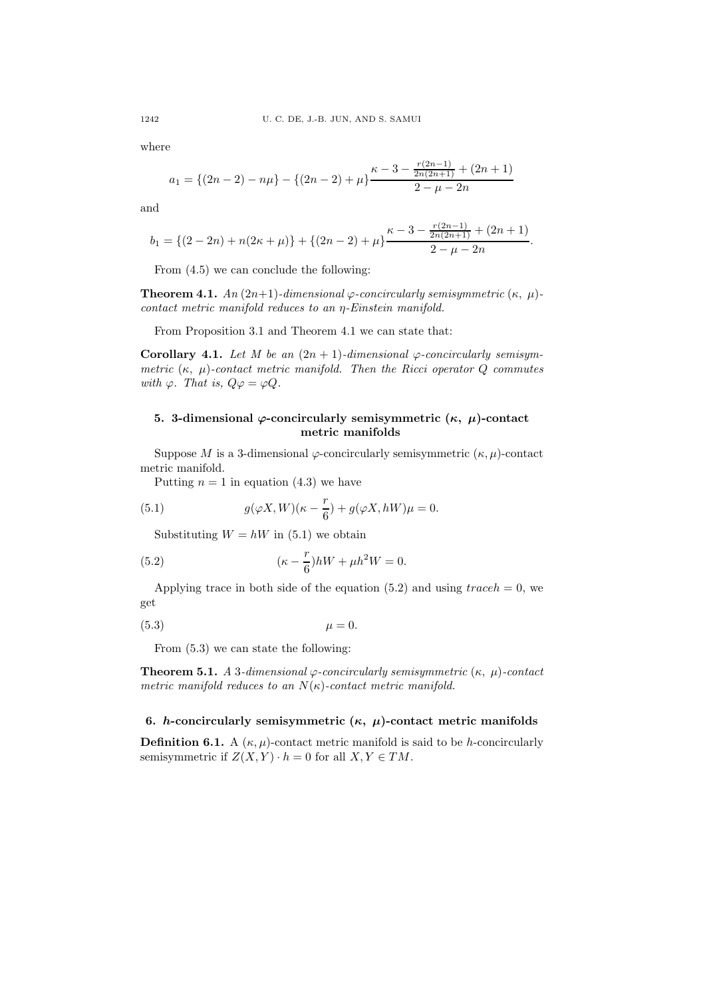where

$$
a_1 = \{(2n-2) - n\mu\} - \{(2n-2) + \mu\} \frac{\kappa - 3 - \frac{r(2n-1)}{2n(2n+1)} + (2n+1)}{2 - \mu - 2n}
$$

and

$$
b_1 = \{(2-2n) + n(2\kappa + \mu)\} + \{(2n-2) + \mu\} \frac{\kappa - 3 - \frac{r(2n-1)}{2n(2n+1)} + (2n+1)}{2 - \mu - 2n}.
$$

From (4.5) we can conclude the following:

**Theorem 4.1.** An  $(2n+1)$ -dimensional  $\varphi$ -concircularly semisymmetric  $(\kappa, \mu)$ contact metric manifold reduces to an η-Einstein manifold.

From Proposition 3.1 and Theorem 4.1 we can state that:

Corollary 4.1. Let M be an  $(2n + 1)$ -dimensional  $\varphi$ -concircularly semisymmetric  $(\kappa, \mu)$ -contact metric manifold. Then the Ricci operator Q commutes with  $\varphi$ . That is,  $Q\varphi = \varphi Q$ .

## 5. 3-dimensional  $\varphi$ -concircularly semisymmetric  $(κ, μ)$ -contact metric manifolds

Suppose M is a 3-dimensional  $\varphi$ -concircularly semisymmetric  $(\kappa, \mu)$ -contact metric manifold.

Putting  $n = 1$  in equation (4.3) we have

(5.1) 
$$
g(\varphi X, W)(\kappa - \frac{r}{6}) + g(\varphi X, hW)\mu = 0.
$$

Substituting  $W = hW$  in (5.1) we obtain

(5.2) 
$$
(\kappa - \frac{r}{6})hW + \mu h^2 W = 0.
$$

Applying trace in both side of the equation  $(5.2)$  and using  $traceh = 0$ , we get

$$
\mu = 0.
$$

From (5.3) we can state the following:

**Theorem 5.1.** A 3-dimensional  $\varphi$ -concircularly semisymmetric (κ, μ)-contact metric manifold reduces to an  $N(\kappa)$ -contact metric manifold.

### 6. h-concircularly semisymmetric  $(\kappa, \mu)$ -contact metric manifolds

**Definition 6.1.** A  $(\kappa, \mu)$ -contact metric manifold is said to be h-concircularly semisymmetric if  $Z(X, Y) \cdot h = 0$  for all  $X, Y \in TM$ .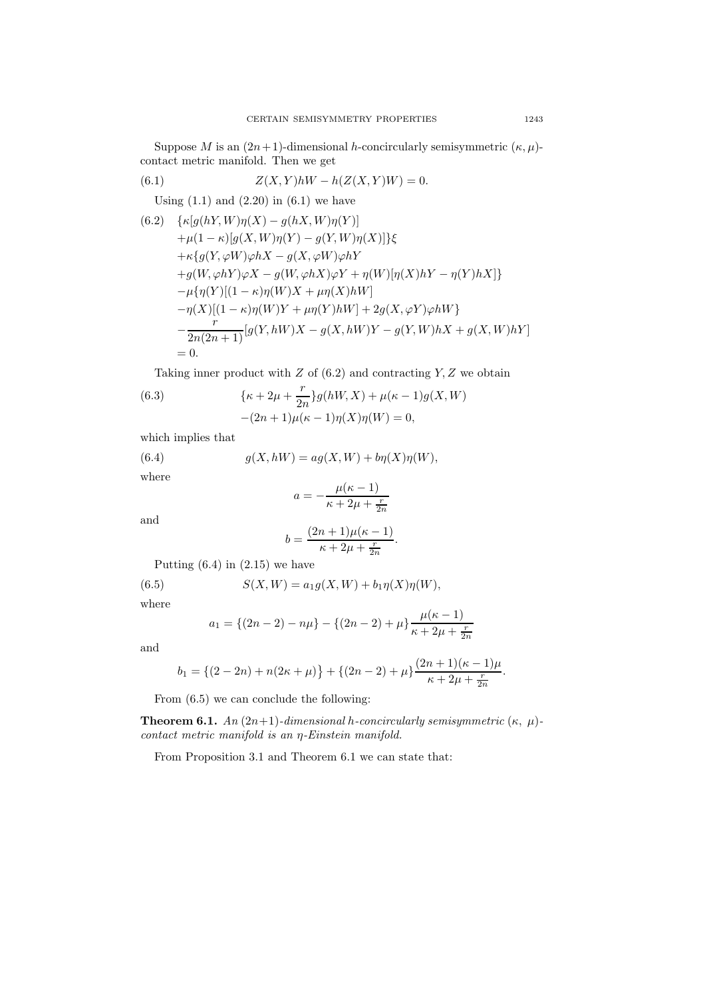Suppose M is an  $(2n+1)$ -dimensional h-concircularly semisymmetric  $(\kappa, \mu)$ contact metric manifold. Then we get

(6.1) 
$$
Z(X,Y)hW - h(Z(X,Y)W) = 0.
$$

Using  $(1.1)$  and  $(2.20)$  in  $(6.1)$  we have

(6.2) 
$$
\{ \kappa[g(hY, W)\eta(X) - g(hX, W)\eta(Y)] + \mu(1 - \kappa)[g(X, W)\eta(Y) - g(Y, W)\eta(X)] \} \xi
$$
  
+
$$
\kappa\{ g(Y, \varphi W)\varphi hX - g(X, \varphi W)\varphi hY + g(W, \varphi hY)\varphi X - g(W, \varphi hX)\varphi Y + \eta(W)[\eta(X)hY - \eta(Y)hX] \} - \mu\{\eta(Y)[(1 - \kappa)\eta(W)X + \mu\eta(X)hW] - \eta(X)[(1 - \kappa)\eta(W)Y + \mu\eta(Y)hW] + 2g(X, \varphi Y)\varphi hW \} - \frac{r}{2n(2n+1)}[g(Y, hW)X - g(X, hW)Y - g(Y, W)hX + g(X, W)hY] = 0.
$$

Taking inner product with  $Z$  of  $(6.2)$  and contracting  $Y, Z$  we obtain

(6.3) 
$$
\{\kappa + 2\mu + \frac{r}{2n}\}g(hW, X) + \mu(\kappa - 1)g(X, W) - (2n + 1)\mu(\kappa - 1)\eta(X)\eta(W) = 0,
$$

which implies that

(6.4)  $g(X, hW) = ag(X, W) + b\eta(X)\eta(W),$ where  $a=-\frac{\mu(\kappa-1)}{\kappa}$  $\kappa + 2\mu + \frac{r}{2n}$ 

and

$$
b = \frac{(2n+1)\mu(\kappa-1)}{\kappa+2\mu+\frac{r}{2n}}.
$$

Putting  $(6.4)$  in  $(2.15)$  we have

(6.5) 
$$
S(X, W) = a_1 g(X, W) + b_1 \eta(X) \eta(W),
$$

where

$$
a_1 = \{(2n-2) - n\mu\} - \{(2n-2) + \mu\} \frac{\mu(\kappa - 1)}{\kappa + 2\mu + \frac{r}{2n}}
$$

and

$$
b_1 = \{(2-2n) + n(2\kappa + \mu)\} + \{(2n-2) + \mu\} \frac{(2n+1)(\kappa - 1)\mu}{\kappa + 2\mu + \frac{r}{2n}}.
$$

From (6.5) we can conclude the following:

**Theorem 6.1.** An  $(2n+1)$ -dimensional h-concircularly semisymmetric  $(\kappa, \mu)$ contact metric manifold is an η-Einstein manifold.

From Proposition 3.1 and Theorem 6.1 we can state that: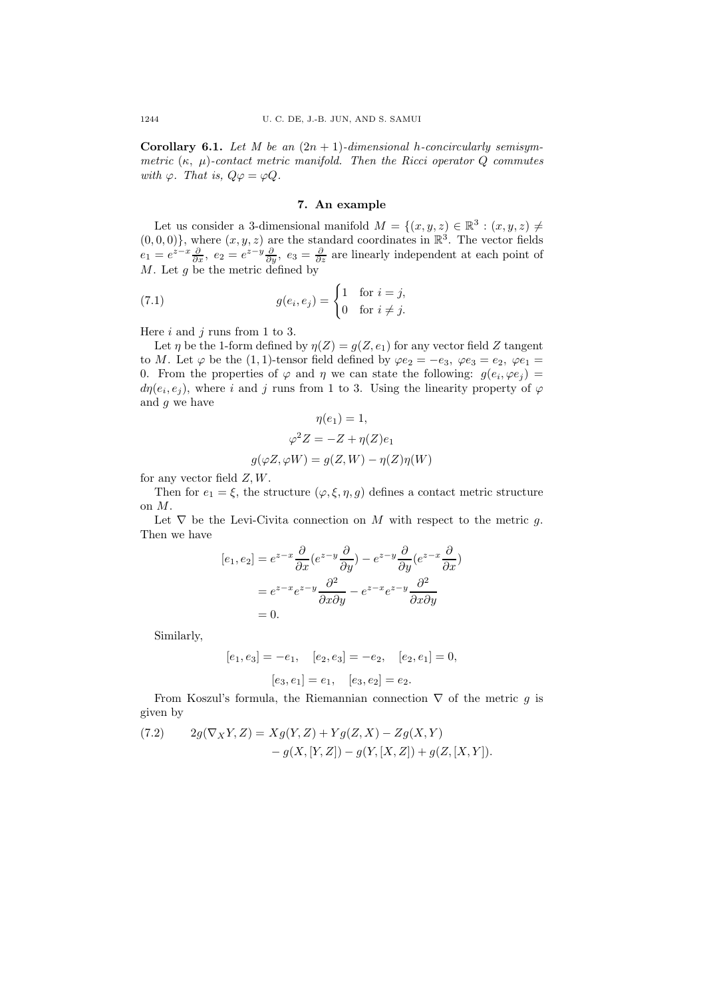Corollary 6.1. Let M be an  $(2n + 1)$ -dimensional h-concircularly semisymmetric  $(\kappa, \mu)$ -contact metric manifold. Then the Ricci operator Q commutes with  $\varphi$ . That is,  $Q\varphi = \varphi Q$ .

## 7. An example

Let us consider a 3-dimensional manifold  $M = \{(x, y, z) \in \mathbb{R}^3 : (x, y, z) \neq 0\}$  $(0,0,0)$ , where  $(x, y, z)$  are the standard coordinates in  $\mathbb{R}^3$ . The vector fields  $e_1 = e^{z-x} \frac{\partial}{\partial x}$ ,  $e_2 = e^{z-y} \frac{\partial}{\partial y}$ ,  $e_3 = \frac{\partial}{\partial z}$  are linearly independent at each point of  $M$ . Let  $g$  be the metric defined by

(7.1) 
$$
g(e_i, e_j) = \begin{cases} 1 & \text{for } i = j, \\ 0 & \text{for } i \neq j. \end{cases}
$$

Here  $i$  and  $j$  runs from 1 to 3.

Let  $\eta$  be the 1-form defined by  $\eta(Z) = q(Z, e_1)$  for any vector field Z tangent to M. Let  $\varphi$  be the (1, 1)-tensor field defined by  $\varphi e_2 = -e_3$ ,  $\varphi e_3 = e_2$ ,  $\varphi e_1 =$ 0. From the properties of  $\varphi$  and  $\eta$  we can state the following:  $g(e_i, \varphi e_j) =$  $d\eta(e_i, e_j)$ , where i and j runs from 1 to 3. Using the linearity property of  $\varphi$ and g we have

$$
\eta(e_1) = 1,
$$
  
\n
$$
\varphi^2 Z = -Z + \eta(Z)e_1
$$
  
\n
$$
g(\varphi Z, \varphi W) = g(Z, W) - \eta(Z)\eta(W)
$$

for any vector field  $Z, W$ .

Then for  $e_1 = \xi$ , the structure  $(\varphi, \xi, \eta, g)$  defines a contact metric structure on M.

Let  $\nabla$  be the Levi-Civita connection on M with respect to the metric g. Then we have

$$
[e_1, e_2] = e^{z-x} \frac{\partial}{\partial x} (e^{z-y} \frac{\partial}{\partial y}) - e^{z-y} \frac{\partial}{\partial y} (e^{z-x} \frac{\partial}{\partial x})
$$

$$
= e^{z-x} e^{z-y} \frac{\partial^2}{\partial x \partial y} - e^{z-x} e^{z-y} \frac{\partial^2}{\partial x \partial y}
$$

$$
= 0.
$$

Similarly,

$$
[e_1, e_3] = -e_1, \quad [e_2, e_3] = -e_2, \quad [e_2, e_1] = 0,
$$

$$
[e_3, e_1] = e_1, \quad [e_3, e_2] = e_2.
$$

From Koszul's formula, the Riemannian connection  $\nabla$  of the metric g is given by

(7.2) 
$$
2g(\nabla_X Y, Z) = Xg(Y, Z) + Yg(Z, X) - Zg(X, Y) - g(X, [Y, Z]) - g(Y, [X, Z]) + g(Z, [X, Y]).
$$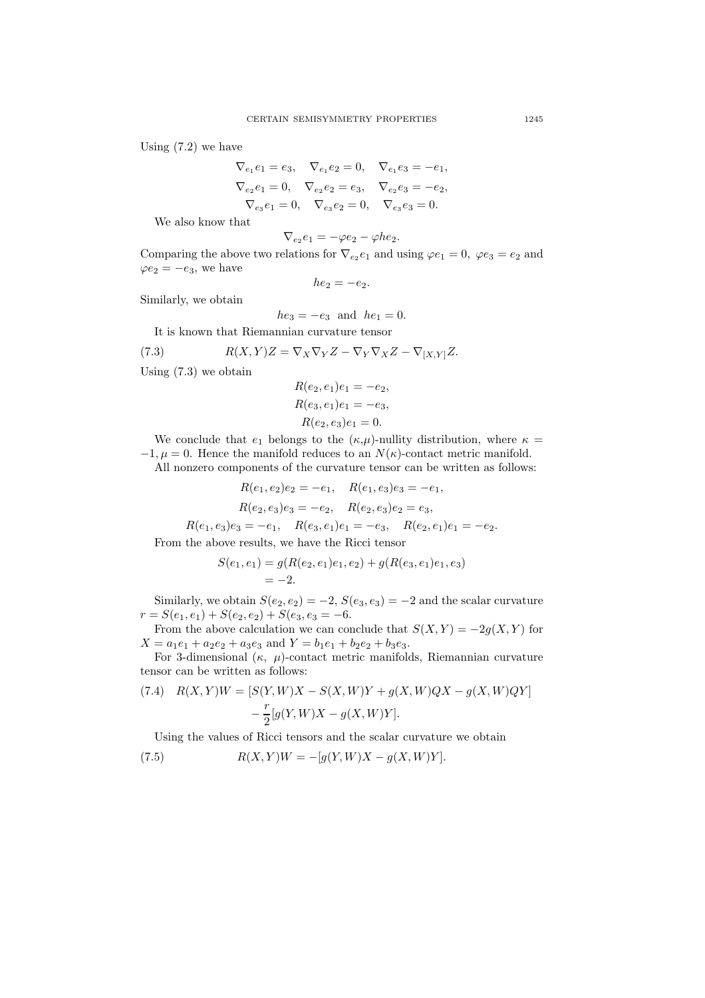Using  $(7.2)$  we have

$$
\nabla_{e_1} e_1 = e_3, \quad \nabla_{e_1} e_2 = 0, \quad \nabla_{e_1} e_3 = -e_1,
$$
  
\n
$$
\nabla_{e_2} e_1 = 0, \quad \nabla_{e_2} e_2 = e_3, \quad \nabla_{e_2} e_3 = -e_2,
$$
  
\n
$$
\nabla_{e_3} e_1 = 0, \quad \nabla_{e_3} e_2 = 0, \quad \nabla_{e_3} e_3 = 0.
$$

We also know that

$$
\nabla_{e_2}e_1=-\varphi e_2-\varphi h e_2.
$$

Comparing the above two relations for  $\nabla_{e_2} e_1$  and using  $\varphi e_1 = 0$ ,  $\varphi e_3 = e_2$  and  $\varphi e_2 = -e_3$ , we have

$$
he_2=-e_2.
$$

Similarly, we obtain

$$
he_3 = -e_3
$$
 and  $he_1 = 0$ .

It is known that Riemannian curvature tensor

(7.3) 
$$
R(X,Y)Z = \nabla_X \nabla_Y Z - \nabla_Y \nabla_X Z - \nabla_{[X,Y]} Z.
$$

Using (7.3) we obtain

$$
R(e_2, e_1)e_1 = -e_2,
$$
  
\n
$$
R(e_3, e_1)e_1 = -e_3,
$$
  
\n
$$
R(e_2, e_3)e_1 = 0.
$$

We conclude that  $e_1$  belongs to the  $(\kappa,\mu)$ -nullity distribution, where  $\kappa =$  $-1, \mu = 0$ . Hence the manifold reduces to an  $N(\kappa)$ -contact metric manifold.

All nonzero components of the curvature tensor can be written as follows:

$$
R(e_1, e_2)e_2 = -e_1, \quad R(e_1, e_3)e_3 = -e_1,
$$
  
\n
$$
R(e_2, e_3)e_3 = -e_2, \quad R(e_2, e_3)e_2 = e_3,
$$
  
\n
$$
R(e_1, e_3)e_3 = -e_1, \quad R(e_3, e_1)e_1 = -e_3, \quad R(e_2, e_1)e_1 = -e_2.
$$
  
\nFrom the above results, we have the Ricci tensor

$$
S(e_1, e_1) = g(R(e_2, e_1)e_1, e_2) + g(R(e_3, e_1)e_1, e_3)
$$
  
= -2.

Similarly, we obtain  $S(e_2, e_2) = -2$ ,  $S(e_3, e_3) = -2$  and the scalar curvature  $r = S(e_1, e_1) + S(e_2, e_2) + S(e_3, e_3 = -6.$ 

From the above calculation we can conclude that  $S(X, Y) = -2g(X, Y)$  for  $X = a_1e_1 + a_2e_2 + a_3e_3$  and  $Y = b_1e_1 + b_2e_2 + b_3e_3$ .

For 3-dimensional  $(\kappa, \mu)$ -contact metric manifolds, Riemannian curvature tensor can be written as follows:

(7.4) 
$$
R(X,Y)W = [S(Y,W)X - S(X,W)Y + g(X,W)QX - g(X,W)QY] - \frac{r}{2}[g(Y,W)X - g(X,W)Y].
$$

Using the values of Ricci tensors and the scalar curvature we obtain

(7.5) 
$$
R(X,Y)W = -[g(Y,W)X - g(X,W)Y].
$$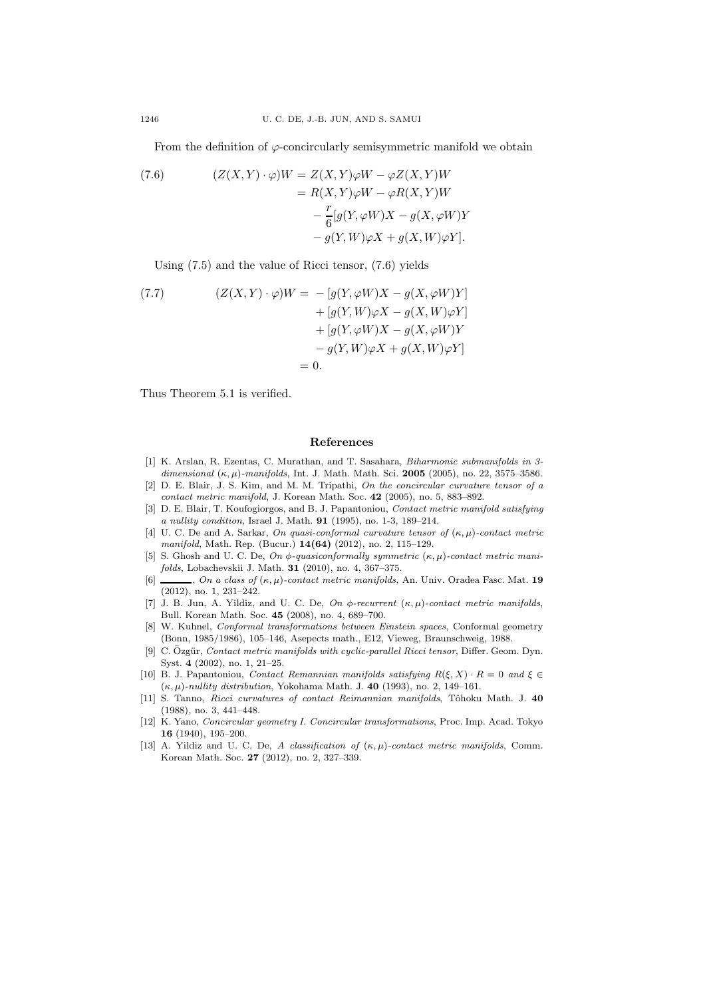From the definition of  $\varphi$ -concircularly semisymmetric manifold we obtain

(7.6) 
$$
(Z(X,Y) \cdot \varphi)W = Z(X,Y)\varphi W - \varphi Z(X,Y)W
$$

$$
= R(X,Y)\varphi W - \varphi R(X,Y)W
$$

$$
- \frac{r}{6}[g(Y,\varphi W)X - g(X,\varphi W)Y
$$

$$
- g(Y,W)\varphi X + g(X,W)\varphi Y].
$$

Using (7.5) and the value of Ricci tensor, (7.6) yields

(7.7) 
$$
(Z(X, Y) \cdot \varphi)W = -[g(Y, \varphi W)X - g(X, \varphi W)Y] + [g(Y, W)\varphi X - g(X, W)\varphi Y] + [g(Y, \varphi W)X - g(X, \varphi W)Y - g(Y, W)\varphi X + g(X, W)\varphi Y] = 0.
$$

Thus Theorem 5.1 is verified.

#### References

- [1] K. Arslan, R. Ezentas, C. Murathan, and T. Sasahara, Biharmonic submanifolds in 3 dimensional  $(\kappa, \mu)$ -manifolds, Int. J. Math. Math. Sci. 2005 (2005), no. 22, 3575–3586.
- [2] D. E. Blair, J. S. Kim, and M. M. Tripathi, On the concircular curvature tensor of a contact metric manifold, J. Korean Math. Soc. 42 (2005), no. 5, 883–892.
- [3] D. E. Blair, T. Koufogiorgos, and B. J. Papantoniou, Contact metric manifold satisfying a nullity condition, Israel J. Math. 91 (1995), no. 1-3, 189–214.
- [4] U. C. De and A. Sarkar, On quasi-conformal curvature tensor of  $(\kappa, \mu)$ -contact metric manifold, Math. Rep. (Bucur.) 14(64) (2012), no. 2, 115–129.
- [5] S. Ghosh and U. C. De, On  $\phi$ -quasiconformally symmetric  $(\kappa, \mu)$ -contact metric manifolds, Lobachevskii J. Math. 31 (2010), no. 4, 367–375.
- [6]  $\ldots$ , On a class of  $(\kappa, \mu)$ -contact metric manifolds, An. Univ. Oradea Fasc. Mat. 19 (2012), no. 1, 231–242.
- [7] J. B. Jun, A. Yildiz, and U. C. De, On  $\phi$ -recurrent  $(\kappa, \mu)$ -contact metric manifolds, Bull. Korean Math. Soc. 45 (2008), no. 4, 689–700.
- [8] W. Kuhnel, Conformal transformations between Einstein spaces, Conformal geometry (Bonn, 1985/1986), 105–146, Asepects math., E12, Vieweg, Braunschweig, 1988.
- [9] C. Özgür, Contact metric manifolds with cyclic-parallel Ricci tensor, Differ. Geom. Dyn. Syst. 4 (2002), no. 1, 21–25.
- [10] B. J. Papantoniou, Contact Remannian manifolds satisfying  $R(\xi, X) \cdot R = 0$  and  $\xi \in$  $(\kappa, \mu)$ -nullity distribution, Yokohama Math. J. 40 (1993), no. 2, 149-161.
- [11] S. Tanno, Ricci curvatures of contact Reimannian manifolds, Tôhoku Math. J. 40 (1988), no. 3, 441–448.
- [12] K. Yano, Concircular geometry I. Concircular transformations, Proc. Imp. Acad. Tokyo 16 (1940), 195–200.
- [13] A. Yildiz and U. C. De, A classification of  $(\kappa, \mu)$ -contact metric manifolds, Comm. Korean Math. Soc. 27 (2012), no. 2, 327–339.